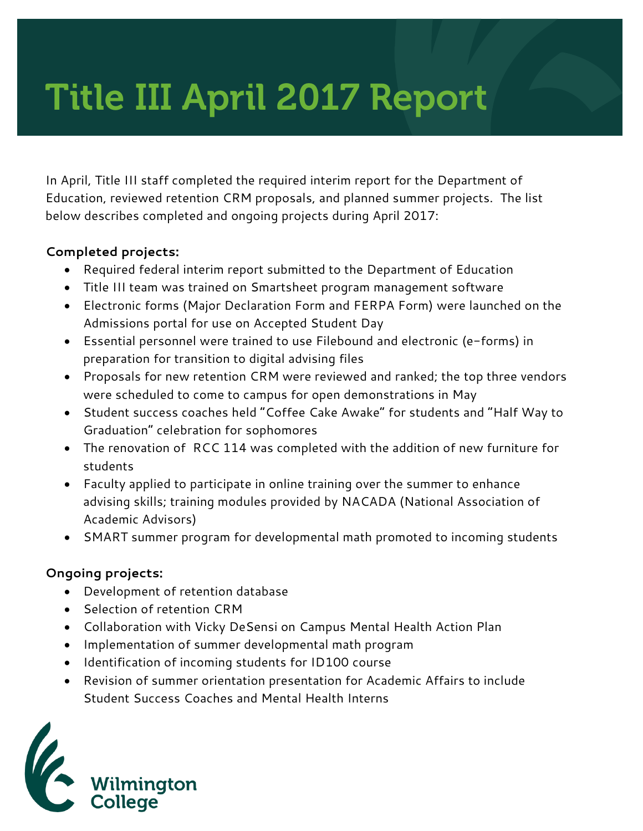# Title III April 2017 Report

In April, Title III staff completed the required interim report for the Department of Education, reviewed retention CRM proposals, and planned summer projects. The list below describes completed and ongoing projects during April 2017:

## **Completed projects:**

- Required federal interim report submitted to the Department of Education
- Title III team was trained on Smartsheet program management software
- Electronic forms (Major Declaration Form and FERPA Form) were launched on the Admissions portal for use on Accepted Student Day
- Essential personnel were trained to use Filebound and electronic (e-forms) in preparation for transition to digital advising files
- Proposals for new retention CRM were reviewed and ranked; the top three vendors were scheduled to come to campus for open demonstrations in May
- Student success coaches held "Coffee Cake Awake" for students and "Half Way to Graduation" celebration for sophomores
- The renovation of RCC 114 was completed with the addition of new furniture for students
- Faculty applied to participate in online training over the summer to enhance advising skills; training modules provided by NACADA (National Association of Academic Advisors)
- SMART summer program for developmental math promoted to incoming students

## **Ongoing projects:**

- Development of retention database
- Selection of retention CRM
- Collaboration with Vicky DeSensi on Campus Mental Health Action Plan
- Implementation of summer developmental math program
- Identification of incoming students for ID100 course
- Revision of summer orientation presentation for Academic Affairs to include Student Success Coaches and Mental Health Interns

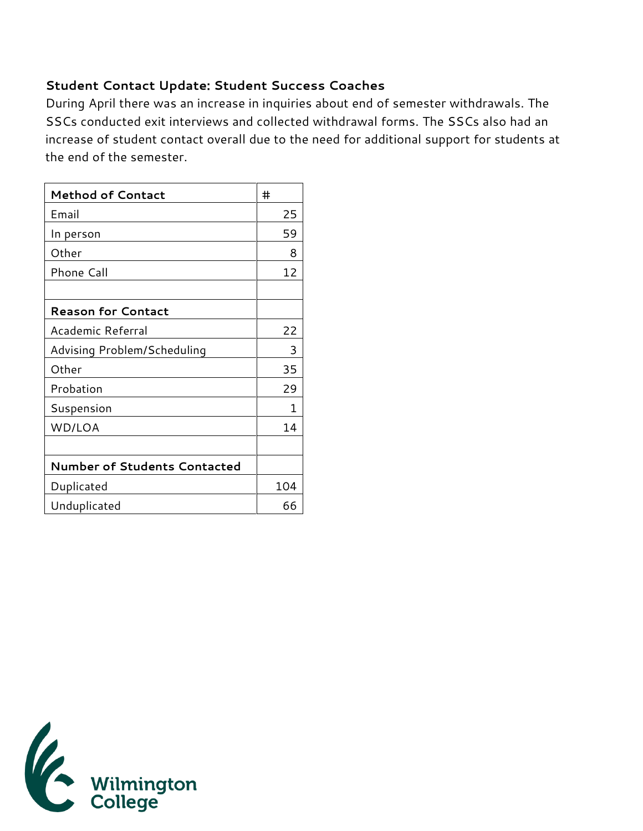#### **Student Contact Update: Student Success Coaches**

During April there was an increase in inquiries about end of semester withdrawals. The SSCs conducted exit interviews and collected withdrawal forms. The SSCs also had an increase of student contact overall due to the need for additional support for students at the end of the semester.

| <b>Method of Contact</b>            | #   |
|-------------------------------------|-----|
| Email                               | 25  |
| In person                           | 59  |
| Other                               | 8   |
| Phone Call                          | 12  |
|                                     |     |
| <b>Reason for Contact</b>           |     |
| Academic Referral                   | 22  |
| Advising Problem/Scheduling         | 3   |
| Other                               | 35  |
| Probation                           | 29  |
| Suspension                          | 1   |
| WD/LOA                              | 14  |
|                                     |     |
| <b>Number of Students Contacted</b> |     |
| Duplicated                          | 104 |
| Unduplicated                        | 66  |